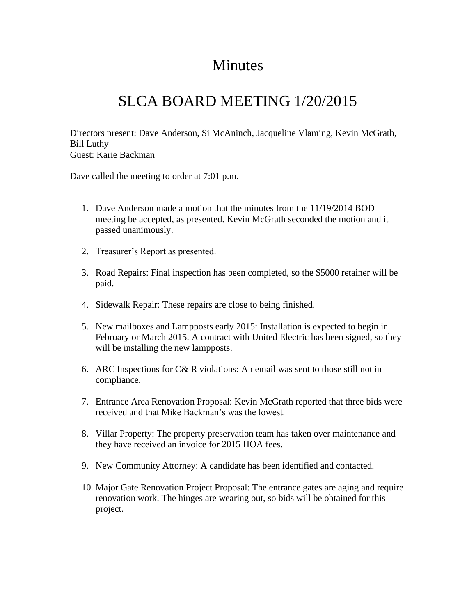## **Minutes**

## SLCA BOARD MEETING 1/20/2015

Directors present: Dave Anderson, Si McAninch, Jacqueline Vlaming, Kevin McGrath, Bill Luthy Guest: Karie Backman

Dave called the meeting to order at 7:01 p.m.

- 1. Dave Anderson made a motion that the minutes from the 11/19/2014 BOD meeting be accepted, as presented. Kevin McGrath seconded the motion and it passed unanimously.
- 2. Treasurer's Report as presented.
- 3. Road Repairs: Final inspection has been completed, so the \$5000 retainer will be paid.
- 4. Sidewalk Repair: These repairs are close to being finished.
- 5. New mailboxes and Lampposts early 2015: Installation is expected to begin in February or March 2015. A contract with United Electric has been signed, so they will be installing the new lampposts.
- 6. ARC Inspections for C& R violations: An email was sent to those still not in compliance.
- 7. Entrance Area Renovation Proposal: Kevin McGrath reported that three bids were received and that Mike Backman's was the lowest.
- 8. Villar Property: The property preservation team has taken over maintenance and they have received an invoice for 2015 HOA fees.
- 9. New Community Attorney: A candidate has been identified and contacted.
- 10. Major Gate Renovation Project Proposal: The entrance gates are aging and require renovation work. The hinges are wearing out, so bids will be obtained for this project.